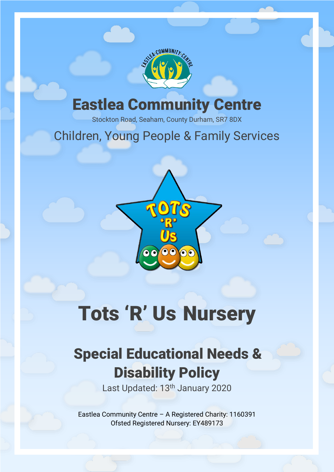

## Eastlea Community Centre

Stockton Road, Seaham, County Durham, SR7 8DX

## Children, Young People & Family Services



# Tots 'R' Us Nursery

# Special Educational Needs & Disability Policy

Last Updated: 13<sup>th</sup> January 2020

Eastlea Community Centre – A Registered Charity: 1160391 Ofsted Registered Nursery: EY489173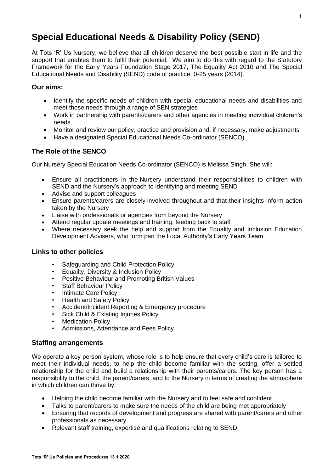### **Special Educational Needs & Disability Policy (SEND)**

At Tots 'R' Us Nursery, we believe that all children deserve the best possible start in life and the support that enables them to fulfil their potential. We aim to do this with regard to the Statutory Framework for the Early Years Foundation Stage 2017, The Equality Act 2010 and The Special Educational Needs and Disability (SEND) code of practice: 0-25 years (2014).

#### **Our aims:**

- Identify the specific needs of children with special educational needs and disabilities and meet those needs through a range of SEN strategies
- Work in partnership with parents/carers and other agencies in meeting individual children's needs
- Monitor and review our policy, practice and provision and, if necessary, make adjustments
- Have a designated Special Educational Needs Co-ordinator (SENCO)

#### **The Role of the SENCO**

Our Nursery Special Education Needs Co‐ordinator (SENCO) is Melissa Singh. She will:

- Ensure all practitioners in the Nursery understand their responsibilities to children with SEND and the Nursery's approach to identifying and meeting SEND
- Advise and support colleagues
- Ensure parents/carers are closely involved throughout and that their insights inform action taken by the Nursery
- Liaise with professionals or agencies from beyond the Nursery
- Attend regular update meetings and training, feeding back to staff
- Where necessary seek the help and support from the Equality and Inclusion Education Development Advisers, who form part the Local Authority's Early Years Team

#### **Links to other policies**

- Safeguarding and Child Protection Policy
- Equality, Diversity & Inclusion Policy
- Positive Behaviour and Promoting British Values
- **Staff Behaviour Policy**
- Intimate Care Policy
- Health and Safety Policy
- Accident/Incident Reporting & Emergency procedure
- Sick Child & Existing Injuries Policy
- **Medication Policy**
- Admissions, Attendance and Fees Policy

#### **Staffing arrangements**

We operate a key person system, whose role is to help ensure that every child's care is tailored to meet their individual needs, to help the child become familiar with the setting, offer a settled relationship for the child and build a relationship with their parents/carers. The key person has a responsibility to the child, the parent/carers, and to the Nursery in terms of creating the atmosphere in which children can thrive by:

- Helping the child become familiar with the Nursery and to feel safe and confident
- Talks to parent/carers to make sure the needs of the child are being met appropriately
- Ensuring that records of development and progress are shared with parent/carers and other professionals as necessary
- Relevant staff training, expertise and qualifications relating to SEND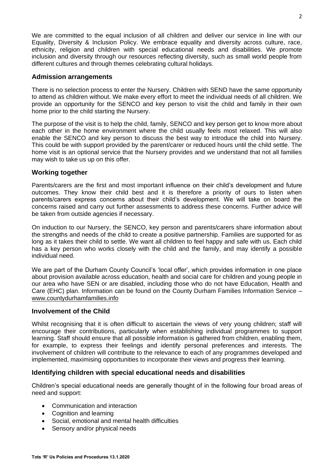We are committed to the equal inclusion of all children and deliver our service in line with our Equality, Diversity & Inclusion Policy. We embrace equality and diversity across culture, race, ethnicity, religion and children with special educational needs and disabilities. We promote inclusion and diversity through our resources reflecting diversity, such as small world people from different cultures and through themes celebrating cultural holidays.

#### **Admission arrangements**

There is no selection process to enter the Nursery. Children with SEND have the same opportunity to attend as children without. We make every effort to meet the individual needs of all children. We provide an opportunity for the SENCO and key person to visit the child and family in their own home prior to the child starting the Nursery.

The purpose of the visit is to help the child, family, SENCO and key person get to know more about each other in the home environment where the child usually feels most relaxed. This will also enable the SENCO and key person to discuss the best way to introduce the child into Nursery. This could be with support provided by the parent/carer or reduced hours until the child settle. The home visit is an optional service that the Nursery provides and we understand that not all families may wish to take us up on this offer.

#### **Working together**

Parents/carers are the first and most important influence on their child's development and future outcomes. They know their child best and it is therefore a priority of ours to listen when parents/carers express concerns about their child's development. We will take on board the concerns raised and carry out further assessments to address these concerns. Further advice will be taken from outside agencies if necessary.

On induction to our Nursery, the SENCO, key person and parents/carers share information about the strengths and needs of the child to create a positive partnership. Families are supported for as long as it takes their child to settle. We want all children to feel happy and safe with us. Each child has a key person who works closely with the child and the family, and may identify a possible individual need.

We are part of the Durham County Council's 'local offer', which provides information in one place about provision available across education, health and social care for children and young people in our area who have SEN or are disabled, including those who do not have Education, Health and Care (EHC) plan. Information can be found on the County Durham Families Information Service – [www.countydurhamfamilies.info](http://www.countydurhamfamilies.info/)

#### **Involvement of the Child**

Whilst recognising that it is often difficult to ascertain the views of very young children; staff will encourage their contributions, particularly when establishing individual programmes to support learning. Staff should ensure that all possible information is gathered from children, enabling them, for example, to express their feelings and identify personal preferences and interests. The involvement of children will contribute to the relevance to each of any programmes developed and implemented, maximising opportunities to incorporate their views and progress their learning.

#### **Identifying children with special educational needs and disabilities**

Children's special educational needs are generally thought of in the following four broad areas of need and support:

- Communication and interaction
- Cognition and learning
- Social, emotional and mental health difficulties
- Sensory and/or physical needs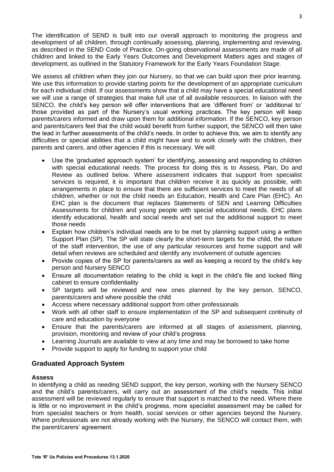The identification of SEND is built into our overall approach to monitoring the progress and development of all children, through continually assessing, planning, implementing and reviewing, as described in the SEND Code of Practice. On-going observational assessments are made of all children and linked to the Early Years Outcomes and Development Matters ages and stages of development, as outlined in the Statutory Framework for the Early Years Foundation Stage.

We assess all children when they join our Nursery, so that we can build upon their prior learning. We use this information to provide starting points for the development of an appropriate curriculum for each individual child. If our assessments show that a child may have a special educational need we will use a range of strategies that make full use of all available resources. In liaison with the SENCO, the child's key person will offer interventions that are 'different from' or 'additional to' those provided as part of the Nursery's usual working practices. The key person will keep parents/carers informed and draw upon them for additional information. If the SENCO, key person and parents/carers feel that the child would benefit from further support, the SENCO will then take the lead in further assessments of the child's needs. In order to achieve this, we aim to identify any difficulties or special abilities that a child might have and to work closely with the children, their parents and carers, and other agencies if this is necessary. We will:

- Use the 'graduated approach system' for identifying, assessing and responding to children with special educational needs. The process for doing this is to Assess, Plan, Do and Review as outlined below. Where assessment indicates that support from specialist services is required, it is important that children receive it as quickly as possible, with arrangements in place to ensure that there are sufficient services to meet the needs of all children, whether or not the child needs an Education, Health and Care Plan (EHC). An EHC plan is the document that replaces Statements of SEN and Learning Difficulties Assessments for children and young people with special educational needs. EHC plans identify educational, health and social needs and set out the additional support to meet those needs
- Explain how children's individual needs are to be met by planning support using a written Support Plan (SP). The SP will state clearly the short-term targets for the child, the nature of the staff intervention, the use of any particular resources and home support and will detail when reviews are scheduled and identify any involvement of outside agencies
- Provide copies of the SP for parents/carers as well as keeping a record by the child's key person and Nursery SENCO
- Ensure all documentation relating to the child is kept in the child's file and locked filing cabinet to ensure confidentiality
- SP targets will be reviewed and new ones planned by the key person, SENCO, parents/carers and where possible the child
- Access where necessary additional support from other professionals
- Work with all other staff to ensure implementation of the SP and subsequent continuity of care and education by everyone
- Ensure that the parents/carers are informed at all stages of assessment, planning, provision, monitoring and review of your child's progress
- Learning Journals are available to view at any time and may be borrowed to take home
- Provide support to apply for funding to support your child

#### **Graduated Approach System**

#### **Assess**

In identifying a child as needing SEND support, the key person, working with the Nursery SENCO and the child's parents/carers, will carry out an assessment of the child's needs. This initial assessment will be reviewed regularly to ensure that support is matched to the need. Where there is little or no improvement in the child's progress, more specialist assessment may be called for from specialist teachers or from health, social services or other agencies beyond the Nursery. Where professionals are not already working with the Nursery, the SENCO will contact them, with the parent/carers' agreement.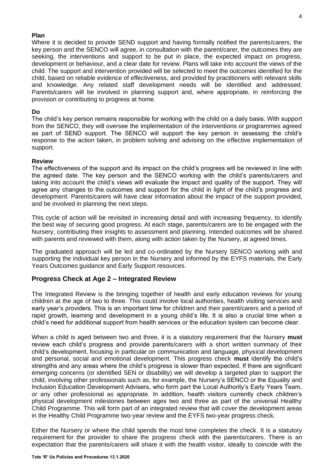#### **Plan**

Where it is decided to provide SEND support and having formally notified the parents/carers, the key person and the SENCO will agree, in consultation with the parent/carer, the outcomes they are seeking, the interventions and support to be put in place, the expected impact on progress, development or behaviour, and a clear date for review. Plans will take into account the views of the child. The support and intervention provided will be selected to meet the outcomes identified for the child, based on reliable evidence of effectiveness, and provided by practitioners with relevant skills and knowledge. Any related staff development needs will be identified and addressed. Parents/carers will be involved in planning support and, where appropriate, in reinforcing the provision or contributing to progress at home.

#### **Do**

The child's key person remains responsible for working with the child on a daily basis. With support from the SENCO, they will oversee the implementation of the interventions or programmes agreed as part of SEND support. The SENCO will support the key person in assessing the child's response to the action taken, in problem solving and advising on the effective implementation of support.

#### **Review**

The effectiveness of the support and its impact on the child's progress will be reviewed in line with the agreed date. The key person and the SENCO working with the child's parents/carers and taking into account the child's views will evaluate the impact and quality of the support. They will agree any changes to the outcomes and support for the child in light of the child's progress and development. Parents/carers will have clear information about the impact of the support provided, and be involved in planning the next steps.

This cycle of action will be revisited in increasing detail and with increasing frequency, to identify the best way of securing good progress. At each stage, parents/carers are to be engaged with the Nursery, contributing their insights to assessment and planning. Intended outcomes will be shared with parents and reviewed with them, along with action taken by the Nursery, at agreed times.

The graduated approach will be led and co-ordinated by the Nursery SENCO working with and supporting the individual key person in the Nursery and informed by the EYFS materials, the Early Years Outcomes guidance and Early Support resources.

#### **Progress Check at Age 2 – Integrated Review**

The Integrated Review is the bringing together of health and early education reviews for young children at the age of two to three. This could involve local authorities, health visiting services and early year's providers. This is an important time for children and their parent/carers and a period of rapid growth, learning and development in a young child's life. It is also a crucial time when a child's need for additional support from health services or the education system can become clear.

When a child is aged between two and three, it is a statutory requirement that the Nursery **must**  review each child's progress and provide parents/carers with a short written summary of their child's development, focusing in particular on communication and language, physical development and personal, social and emotional development. This progress check **must** identify the child's strengths and any areas where the child's progress is slower than expected. If there are significant emerging concerns (or identified SEN or disability) we will develop a targeted plan to support the child, involving other professionals such as, for example, the Nursery's SENCO or the Equality and Inclusion Education Development Advisers, who form part the Local Authority's Early Years Team, or any other professional as appropriate. In addition, health visitors currently check children's physical development milestones between ages two and three as part of the universal Healthy Child Programme. This will form part of an integrated review that will cover the development areas in the Healthy Child Programme two-year review and the EYFS two-year progress check.

Either the Nursery or where the child spends the most time completes the check. It is a statutory requirement for the provider to share the progress check with the parents/carers. There is an expectation that the parents/carers will share it with the health visitor, ideally to coincide with the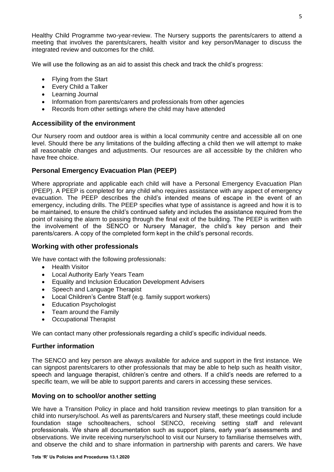Healthy Child Programme two-year-review. The Nursery supports the parents/carers to attend a meeting that involves the parents/carers, health visitor and key person/Manager to discuss the integrated review and outcomes for the child.

We will use the following as an aid to assist this check and track the child's progress:

- Flying from the Start
- Every Child a Talker
- Learning Journal
- Information from parents/carers and professionals from other agencies
- Records from other settings where the child may have attended

#### **Accessibility of the environment**

Our Nursery room and outdoor area is within a local community centre and accessible all on one level. Should there be any limitations of the building affecting a child then we will attempt to make all reasonable changes and adjustments. Our resources are all accessible by the children who have free choice.

#### **Personal Emergency Evacuation Plan (PEEP)**

Where appropriate and applicable each child will have a Personal Emergency Evacuation Plan (PEEP). A PEEP is completed for any child who requires assistance with any aspect of emergency evacuation. The PEEP describes the child's intended means of escape in the event of an emergency, including drills. The PEEP specifies what type of assistance is agreed and how it is to be maintained, to ensure the child's continued safety and includes the assistance required from the point of raising the alarm to passing through the final exit of the building. The PEEP is written with the involvement of the SENCO or Nursery Manager, the child's key person and their parents/carers. A copy of the completed form kept in the child's personal records.

#### **Working with other professionals**

We have contact with the following professionals:

- Health Visitor
- Local Authority Early Years Team
- Equality and Inclusion Education Development Advisers
- Speech and Language Therapist
- Local Children's Centre Staff (e.g. family support workers)
- Education Psychologist
- Team around the Family
- Occupational Therapist

We can contact many other professionals regarding a child's specific individual needs.

#### **Further information**

The SENCO and key person are always available for advice and support in the first instance. We can signpost parents/carers to other professionals that may be able to help such as health visitor, speech and language therapist, children's centre and others. If a child's needs are referred to a specific team, we will be able to support parents and carers in accessing these services.

#### **Moving on to school/or another setting**

We have a Transition Policy in place and hold transition review meetings to plan transition for a child into nursery/school. As well as parents/carers and Nursery staff, these meetings could include foundation stage schoolteachers, school SENCO, receiving setting staff and relevant professionals. We share all documentation such as support plans, early year's assessments and observations. We invite receiving nursery/school to visit our Nursery to familiarise themselves with, and observe the child and to share information in partnership with parents and carers. We have